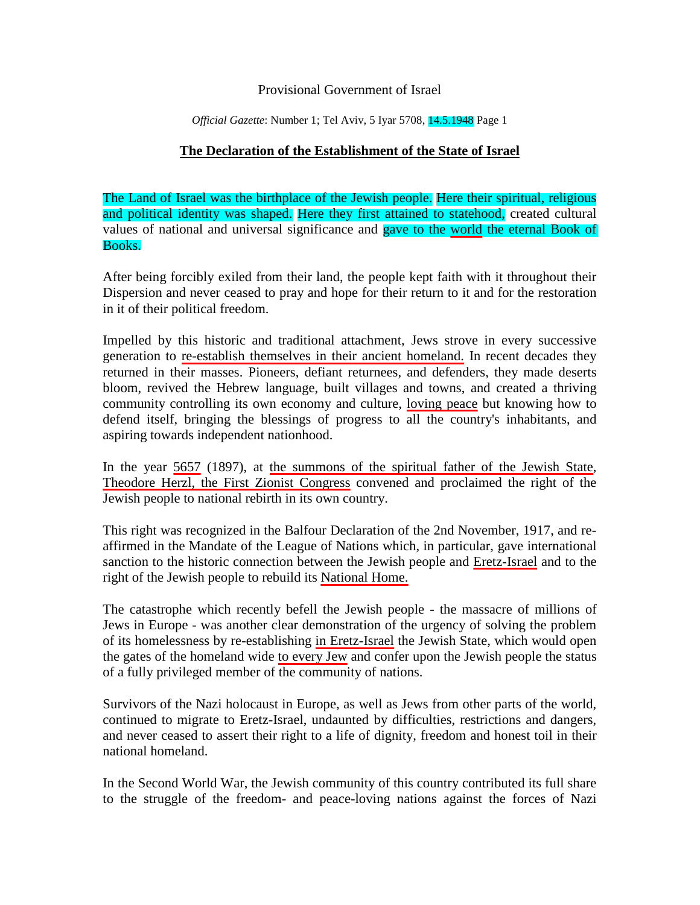## Provisional Government of Israel

*Official Gazette*: Number 1; Tel Aviv, 5 Iyar 5708, 14.5.1948 Page 1

## **The Declaration of the Establishment of the State of Israel**

The Land of Israel was the birthplace of the Jewish people. Here their spiritual, religious and political identity was shaped. Here they first attained to statehood, created cultural values of national and universal significance and gave to the world the eternal Book of Books.

After being forcibly exiled from their land, the people kept faith with it throughout their Dispersion and never ceased to pray and hope for their return to it and for the restoration in it of their political freedom.

Impelled by this historic and traditional attachment, Jews strove in every successive generation to re-establish themselves in their ancient homeland. In recent decades they returned in their masses. Pioneers, defiant returnees, and defenders, they made deserts bloom, revived the Hebrew language, built villages and towns, and created a thriving community controlling its own economy and culture, loving peace but knowing how to defend itself, bringing the blessings of progress to all the country's inhabitants, and aspiring towards independent nationhood.

In the year 5657 (1897), at the summons of the spiritual father of the Jewish State, Theodore Herzl, the First Zionist Congress convened and proclaimed the right of the Jewish people to national rebirth in its own country.

This right was recognized in the Balfour Declaration of the 2nd November, 1917, and reaffirmed in the Mandate of the League of Nations which, in particular, gave international sanction to the historic connection between the Jewish people and Eretz-Israel and to the right of the Jewish people to rebuild its National Home.

The catastrophe which recently befell the Jewish people - the massacre of millions of Jews in Europe - was another clear demonstration of the urgency of solving the problem of its homelessness by re-establishing in Eretz-Israel the Jewish State, which would open the gates of the homeland wide to every Jew and confer upon the Jewish people the status of a fully privileged member of the community of nations.

Survivors of the Nazi holocaust in Europe, as well as Jews from other parts of the world, continued to migrate to Eretz-Israel, undaunted by difficulties, restrictions and dangers, and never ceased to assert their right to a life of dignity, freedom and honest toil in their national homeland.

In the Second World War, the Jewish community of this country contributed its full share to the struggle of the freedom- and peace-loving nations against the forces of Nazi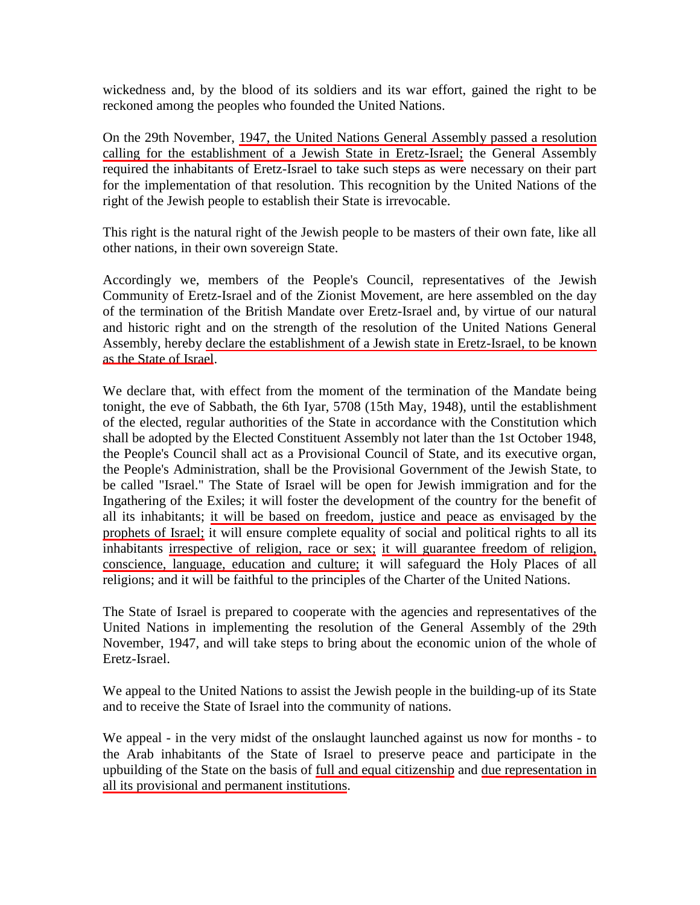wickedness and, by the blood of its soldiers and its war effort, gained the right to be reckoned among the peoples who founded the United Nations.

On the 29th November, 1947, the United Nations General Assembly passed a resolution calling for the establishment of a Jewish State in Eretz-Israel; the General Assembly required the inhabitants of Eretz-Israel to take such steps as were necessary on their part for the implementation of that resolution. This recognition by the United Nations of the right of the Jewish people to establish their State is irrevocable.

This right is the natural right of the Jewish people to be masters of their own fate, like all other nations, in their own sovereign State.

Accordingly we, members of the People's Council, representatives of the Jewish Community of Eretz-Israel and of the Zionist Movement, are here assembled on the day of the termination of the British Mandate over Eretz-Israel and, by virtue of our natural and historic right and on the strength of the resolution of the United Nations General Assembly, hereby declare the establishment of a Jewish state in Eretz-Israel, to be known as the State of Israel.

We declare that, with effect from the moment of the termination of the Mandate being tonight, the eve of Sabbath, the 6th Iyar, 5708 (15th May, 1948), until the establishment of the elected, regular authorities of the State in accordance with the Constitution which shall be adopted by the Elected Constituent Assembly not later than the 1st October 1948, the People's Council shall act as a Provisional Council of State, and its executive organ, the People's Administration, shall be the Provisional Government of the Jewish State, to be called "Israel." The State of Israel will be open for Jewish immigration and for the Ingathering of the Exiles; it will foster the development of the country for the benefit of all its inhabitants; it will be based on freedom, justice and peace as envisaged by the prophets of Israel; it will ensure complete equality of social and political rights to all its inhabitants irrespective of religion, race or sex; it will guarantee freedom of religion, conscience, language, education and culture; it will safeguard the Holy Places of all religions; and it will be faithful to the principles of the Charter of the United Nations.

The State of Israel is prepared to cooperate with the agencies and representatives of the United Nations in implementing the resolution of the General Assembly of the 29th November, 1947, and will take steps to bring about the economic union of the whole of Eretz-Israel.

We appeal to the United Nations to assist the Jewish people in the building-up of its State and to receive the State of Israel into the community of nations.

We appeal - in the very midst of the onslaught launched against us now for months - to the Arab inhabitants of the State of Israel to preserve peace and participate in the upbuilding of the State on the basis of full and equal citizenship and due representation in all its provisional and permanent institutions.